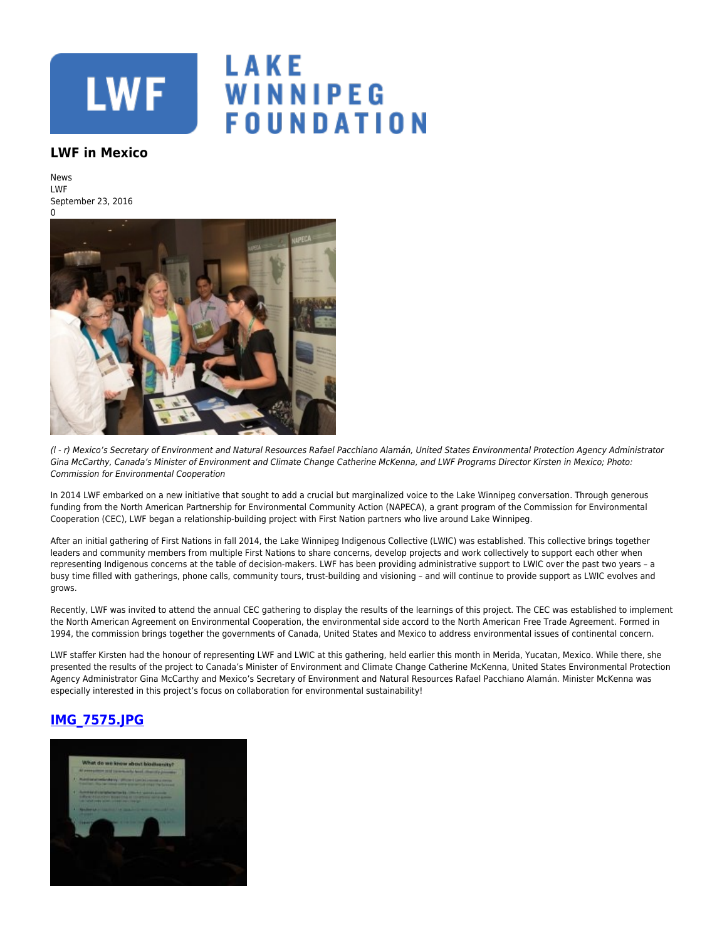

## LAKE WINNIPEG **FOUNDATION**

## **LWF in Mexico**

News LWF September 23, 2016



(l - r) Mexico's Secretary of Environment and Natural Resources Rafael Pacchiano Alamán, United States Environmental Protection Agency Administrator Gina McCarthy, Canada's Minister of Environment and Climate Change Catherine McKenna, and LWF Programs Director Kirsten in Mexico; Photo: Commission for Environmental Cooperation

In 2014 LWF embarked on a new initiative that sought to add a crucial but marginalized voice to the Lake Winnipeg conversation. Through generous funding from the North American Partnership for Environmental Community Action (NAPECA), a grant program of the Commission for Environmental Cooperation (CEC), LWF began a relationship-building project with First Nation partners who live around Lake Winnipeg.

After an initial gathering of First Nations in fall 2014, the Lake Winnipeg Indigenous Collective (LWIC) was established. This collective brings together leaders and community members from multiple First Nations to share concerns, develop projects and work collectively to support each other when representing Indigenous concerns at the table of decision-makers. LWF has been providing administrative support to LWIC over the past two years – a busy time filled with gatherings, phone calls, community tours, trust-building and visioning – and will continue to provide support as LWIC evolves and grows.

Recently, LWF was invited to attend the annual CEC gathering to display the results of the learnings of this project. The CEC was established to implement the North American Agreement on Environmental Cooperation, the environmental side accord to the North American Free Trade Agreement. Formed in 1994, the commission brings together the governments of Canada, United States and Mexico to address environmental issues of continental concern.

LWF staffer Kirsten had the honour of representing LWF and LWIC at this gathering, held earlier this month in Merida, Yucatan, Mexico. While there, she presented the results of the project to Canada's Minister of Environment and Climate Change Catherine McKenna, United States Environmental Protection Agency Administrator Gina McCarthy and Mexico's Secretary of Environment and Natural Resources Rafael Pacchiano Alamán. Minister McKenna was especially interested in this project's focus on collaboration for environmental sustainability!

## **[IMG\\_7575.JPG](https://lakewinnipegfoundation.org/file/img7575jpg)**